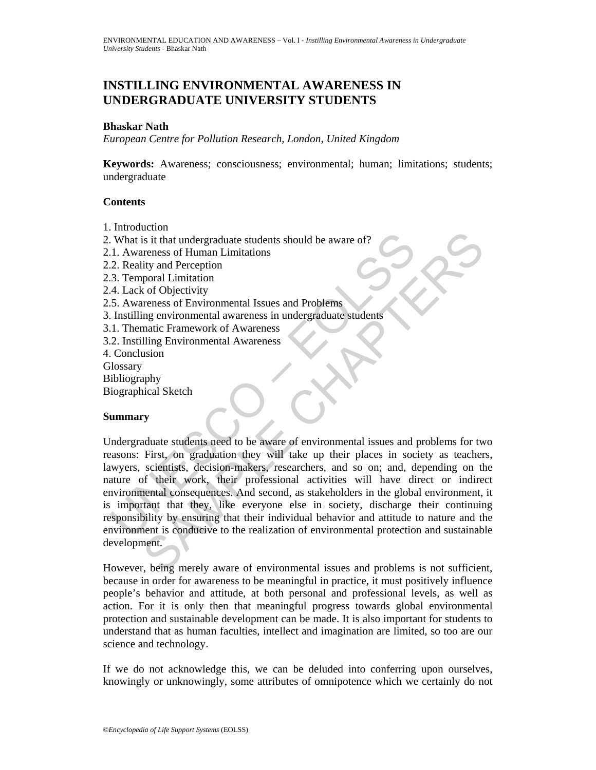# **INSTILLING ENVIRONMENTAL AWARENESS IN UNDERGRADUATE UNIVERSITY STUDENTS**

### **Bhaskar Nath**

*European Centre for Pollution Research, London, United Kingdom* 

**Keywords:** Awareness; consciousness; environmental; human; limitations; students; undergraduate

## **Contents**

- 1. Introduction
- 2. What is it that undergraduate students should be aware of?
- 2.1. Awareness of Human Limitations
- 2.2. Reality and Perception
- 2.3. Temporal Limitation
- 2.4. Lack of Objectivity
- 2.5. Awareness of Environmental Issues and Problems
- 3. Instilling environmental awareness in undergraduate students
- 3.1. Thematic Framework of Awareness
- 3.2. Instilling Environmental Awareness
- 4. Conclusion
- **Glossary**
- Bibliography
- Biographical Sketch

## **Summary**

What is it that undergraduate students should be aware of?<br>
1. Awareness of Human Limitations<br>
2. Reality and Perception<br>
4. Lack of Objectivity<br>
4. Lack of Objectivity<br>
5. Awareness of Environmental Issues and Problems<br>
1 So the detection of environmental sites and problems is it that undergraduate students should be aware of?<br>
Say and Perception<br>
for a Dispectivity<br>
of Objectivity<br>
of Objectivity<br>
and Perception and Problems<br>
and Chapter a Undergraduate students need to be aware of environmental issues and problems for two reasons: First, on graduation they will take up their places in society as teachers, lawyers, scientists, decision-makers, researchers, and so on; and, depending on the nature of their work, their professional activities will have direct or indirect environmental consequences. And second, as stakeholders in the global environment, it is important that they, like everyone else in society, discharge their continuing responsibility by ensuring that their individual behavior and attitude to nature and the environment is conducive to the realization of environmental protection and sustainable development.

However, being merely aware of environmental issues and problems is not sufficient, because in order for awareness to be meaningful in practice, it must positively influence people's behavior and attitude, at both personal and professional levels, as well as action. For it is only then that meaningful progress towards global environmental protection and sustainable development can be made. It is also important for students to understand that as human faculties, intellect and imagination are limited, so too are our science and technology.

If we do not acknowledge this, we can be deluded into conferring upon ourselves, knowingly or unknowingly, some attributes of omnipotence which we certainly do not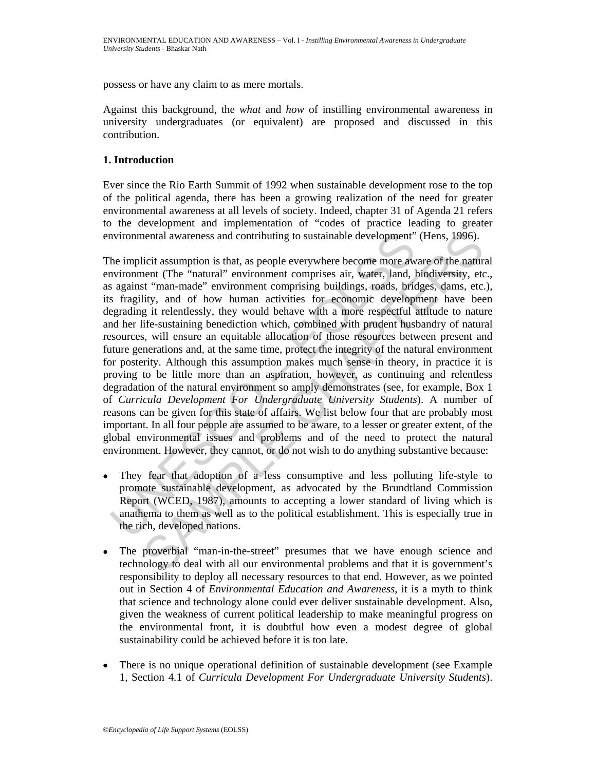possess or have any claim to as mere mortals.

Against this background, the *what* and *how* of instilling environmental awareness in university undergraduates (or equivalent) are proposed and discussed in this contribution.

## **1. Introduction**

Ever since the Rio Earth Summit of 1992 when sustainable development rose to the top of the political agenda, there has been a growing realization of the need for greater environmental awareness at all levels of society. Indeed, chapter 31 of Agenda 21 refers to the development and implementation of "codes of practice leading to greater environmental awareness and contributing to sustainable development" (Hens, 1996).

nvironmental awareness and contributing to sustainable development"<br>he implicit assumption is that, as people everywhere become more aw<br>nvironment (The "natural" environment comprises air, water, land, b<br>s against "man-mad neutral awareness and contributing to sustainable development" (Hens, 1996).<br>
licit assumption is that, as people everywhere become more aware of the naturent<br>
enternet (The "natural" environment comprisse air, water, land The implicit assumption is that, as people everywhere become more aware of the natural environment (The "natural" environment comprises air, water, land, biodiversity, etc., as against "man-made" environment comprising buildings, roads, bridges, dams, etc.), its fragility, and of how human activities for economic development have been degrading it relentlessly, they would behave with a more respectful attitude to nature and her life-sustaining benediction which, combined with prudent husbandry of natural resources, will ensure an equitable allocation of those resources between present and future generations and, at the same time, protect the integrity of the natural environment for posterity. Although this assumption makes much sense in theory, in practice it is proving to be little more than an aspiration, however, as continuing and relentless degradation of the natural environment so amply demonstrates (see, for example, Box 1 of *Curricula Development For Undergraduate University Students*). A number of reasons can be given for this state of affairs. We list below four that are probably most important. In all four people are assumed to be aware, to a lesser or greater extent, of the global environmental issues and problems and of the need to protect the natural environment. However, they cannot, or do not wish to do anything substantive because:

- They fear that adoption of a less consumptive and less polluting life-style to promote sustainable development, as advocated by the Brundtland Commission Report (WCED, 1987), amounts to accepting a lower standard of living which is anathema to them as well as to the political establishment. This is especially true in the rich, developed nations.
- The proverbial "man-in-the-street" presumes that we have enough science and technology to deal with all our environmental problems and that it is government's responsibility to deploy all necessary resources to that end. However, as we pointed out in Section 4 of *Environmental Education and Awareness*, it is a myth to think that science and technology alone could ever deliver sustainable development. Also, given the weakness of current political leadership to make meaningful progress on the environmental front, it is doubtful how even a modest degree of global sustainability could be achieved before it is too late.
- There is no unique operational definition of sustainable development (see Example 1, Section 4.1 of *Curricula Development For Undergraduate University Students*).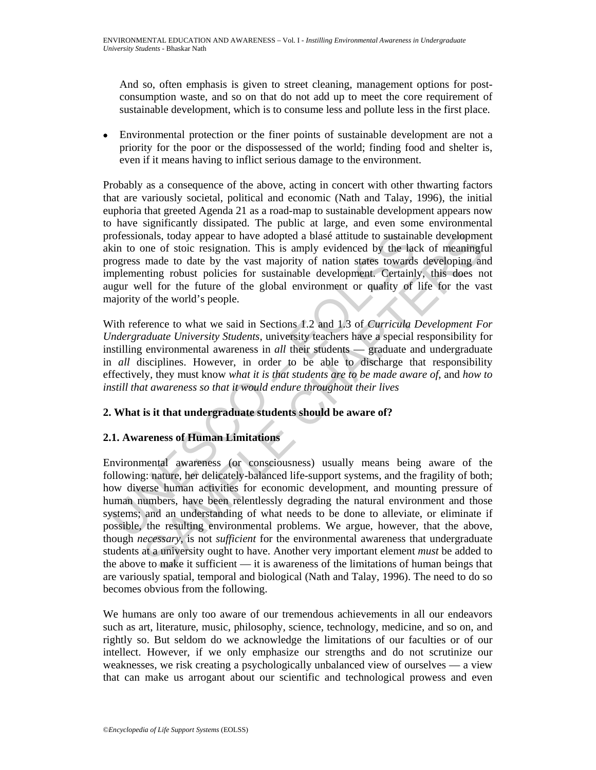And so, often emphasis is given to street cleaning, management options for postconsumption waste, and so on that do not add up to meet the core requirement of sustainable development, which is to consume less and pollute less in the first place.

• Environmental protection or the finer points of sustainable development are not a priority for the poor or the dispossessed of the world; finding food and shelter is, even if it means having to inflict serious damage to the environment.

Probably as a consequence of the above, acting in concert with other thwarting factors that are variously societal, political and economic (Nath and Talay, 1996), the initial euphoria that greeted Agenda 21 as a road-map to sustainable development appears now to have significantly dissipated. The public at large, and even some environmental professionals, today appear to have adopted a blasé attitude to sustainable development akin to one of stoic resignation. This is amply evidenced by the lack of meaningful progress made to date by the vast majority of nation states towards developing and implementing robust policies for sustainable development. Certainly, this does not augur well for the future of the global environment or quality of life for the vast majority of the world's people.

With reference to what we said in Sections 1.2 and 1.3 of *Curricula Development For Undergraduate University Students*, university teachers have a special responsibility for instilling environmental awareness in *all* their students — graduate and undergraduate in *all* disciplines. However, in order to be able to discharge that responsibility effectively, they must know *what it is that students are to be made aware of*, and *how to instill that awareness so that it would endure throughout their lives* 

## **2. What is it that undergraduate students should be aware of?**

# **2.1. Awareness of Human Limitations**

rofessionals, today appear to have adopted a blasé attitude to sustaina<br>kin to one of stoic resignation. This is amply evidenced by the lact<br>orgers made to date by the vast majority of nation states towards<br>mplementing rob mals, today appear to have adopted a blasé attitude to sustainable development of soic resignation. This is amply evidenced by the lack of meaningfrom made to date by the vast majority of nation states towards developing Environmental awareness (or consciousness) usually means being aware of the following: nature, her delicately-balanced life-support systems, and the fragility of both; how diverse human activities for economic development, and mounting pressure of human numbers, have been relentlessly degrading the natural environment and those systems; and an understanding of what needs to be done to alleviate, or eliminate if possible, the resulting environmental problems. We argue, however, that the above, though *necessary*, is not *sufficient* for the environmental awareness that undergraduate students at a university ought to have. Another very important element *must* be added to the above to make it sufficient — it is awareness of the limitations of human beings that are variously spatial, temporal and biological (Nath and Talay, 1996). The need to do so becomes obvious from the following.

We humans are only too aware of our tremendous achievements in all our endeavors such as art, literature, music, philosophy, science, technology, medicine, and so on, and rightly so. But seldom do we acknowledge the limitations of our faculties or of our intellect. However, if we only emphasize our strengths and do not scrutinize our weaknesses, we risk creating a psychologically unbalanced view of ourselves — a view that can make us arrogant about our scientific and technological prowess and even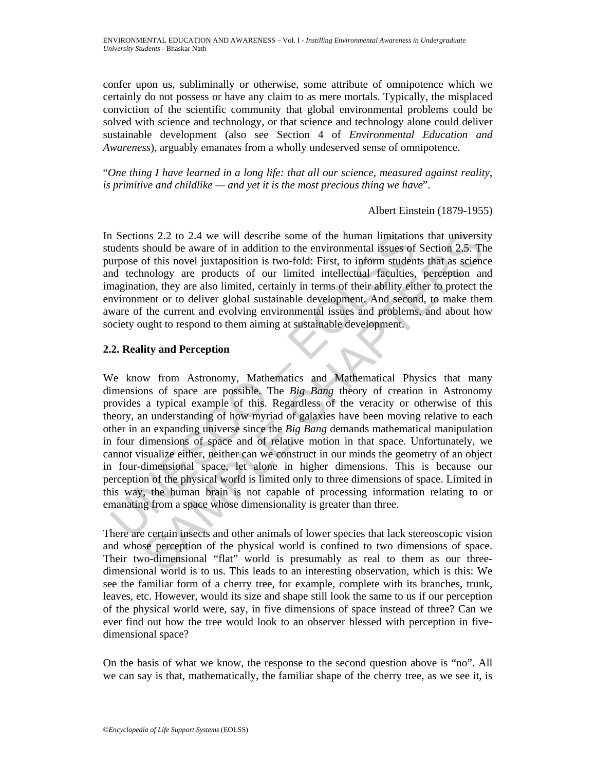confer upon us, subliminally or otherwise, some attribute of omnipotence which we certainly do not possess or have any claim to as mere mortals. Typically, the misplaced conviction of the scientific community that global environmental problems could be solved with science and technology, or that science and technology alone could deliver sustainable development (also see Section 4 of *Environmental Education and Awareness*), arguably emanates from a wholly undeserved sense of omnipotence.

"*One thing I have learned in a long life: that all our science, measured against reality, is primitive and childlike — and yet it is the most precious thing we have*".

Albert Einstein (1879-1955)

In Sections 2.2 to 2.4 we will describe some of the human limitations that university students should be aware of in addition to the environmental issues of Section 2.5. The purpose of this novel juxtaposition is two-fold: First, to inform students that as science and technology are products of our limited intellectual faculties, perception and imagination, they are also limited, certainly in terms of their ability either to protect the environment or to deliver global sustainable development. And second, to make them aware of the current and evolving environmental issues and problems, and about how society ought to respond to them aiming at sustainable development.

## **2.2. Reality and Perception**

1 Sections 2.2 to 2.4 we will describe some of the human limitation<br>udents should be aware of in addition to the environmental issues of<br>urrowse of this novel juxtaposition is two-fold: First, to inform studen<br>tod technol Ins 2.2 to 2.4 we will describe some of the human limitations that university<br>should be aware of in addition to the environmental is<br>uses of Section 2.5. The most of this novel juxtaposition is two-fold: First, to inform s We know from Astronomy, Mathematics and Mathematical Physics that many dimensions of space are possible. The *Big Bang* theory of creation in Astronomy provides a typical example of this. Regardless of the veracity or otherwise of this theory, an understanding of how myriad of galaxies have been moving relative to each other in an expanding universe since the *Big Bang* demands mathematical manipulation in four dimensions of space and of relative motion in that space. Unfortunately, we cannot visualize either, neither can we construct in our minds the geometry of an object in four-dimensional space, let alone in higher dimensions. This is because our perception of the physical world is limited only to three dimensions of space. Limited in this way, the human brain is not capable of processing information relating to or emanating from a space whose dimensionality is greater than three.

There are certain insects and other animals of lower species that lack stereoscopic vision and whose perception of the physical world is confined to two dimensions of space. Their two-dimensional "flat" world is presumably as real to them as our threedimensional world is to us. This leads to an interesting observation, which is this: We see the familiar form of a cherry tree, for example, complete with its branches, trunk, leaves, etc. However, would its size and shape still look the same to us if our perception of the physical world were, say, in five dimensions of space instead of three? Can we ever find out how the tree would look to an observer blessed with perception in fivedimensional space?

On the basis of what we know, the response to the second question above is "no". All we can say is that, mathematically, the familiar shape of the cherry tree, as we see it, is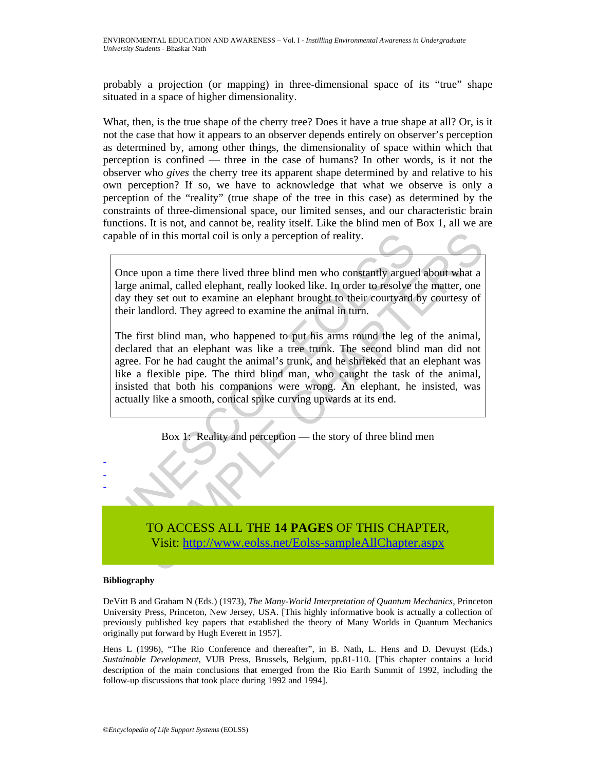probably a projection (or mapping) in three-dimensional space of its "true" shape situated in a space of higher dimensionality.

What, then, is the true shape of the cherry tree? Does it have a true shape at all? Or, is it not the case that how it appears to an observer depends entirely on observer's perception as determined by, among other things, the dimensionality of space within which that perception is confined — three in the case of humans? In other words, is it not the observer who *gives* the cherry tree its apparent shape determined by and relative to his own perception? If so, we have to acknowledge that what we observe is only a perception of the "reality" (true shape of the tree in this case) as determined by the constraints of three-dimensional space, our limited senses, and our characteristic brain functions. It is not, and cannot be, reality itself. Like the blind men of Box 1, all we are capable of in this mortal coil is only a perception of reality.

Once upon a time there lived three blind men who constantly argued about what a large animal, called elephant, really looked like. In order to resolve the matter, one day they set out to examine an elephant brought to their courtyard by courtesy of their landlord. They agreed to examine the animal in turn.

apable of in this mortal coil is only a perception of reality.<br>
Once upon a time there lived three blind men who constantly arguee<br>
large animal, called elephant, really looked like. In order to resolve the<br>
day they set o of in this mortal coil is only a perception of reality.<br>
upon a time there lived three blind men who constantly argued about what a<br>
nimial, called elephant, really looked like. In order to oresolve the matter, one<br>
ey set The first blind man, who happened to put his arms round the leg of the animal, declared that an elephant was like a tree trunk. The second blind man did not agree. For he had caught the animal's trunk, and he shrieked that an elephant was like a flexible pipe. The third blind man, who caught the task of the animal, insisted that both his companions were wrong. An elephant, he insisted, was actually like a smooth, conical spike curving upwards at its end.

Box 1: Reality and perception — the story of three blind men



#### **Bibliography**

- - -

DeVitt B and Graham N (Eds.) (1973), *The Many-World Interpretation of Quantum Mechanics*, Princeton University Press, Princeton, New Jersey, USA. [This highly informative book is actually a collection of previously published key papers that established the theory of Many Worlds in Quantum Mechanics originally put forward by Hugh Everett in 1957].

Hens L (1996), "The Rio Conference and thereafter", in B. Nath, L. Hens and D. Devuyst (Eds.) *Sustainable Development*, VUB Press, Brussels, Belgium, pp.81-110. [This chapter contains a lucid description of the main conclusions that emerged from the Rio Earth Summit of 1992, including the follow-up discussions that took place during 1992 and 1994].